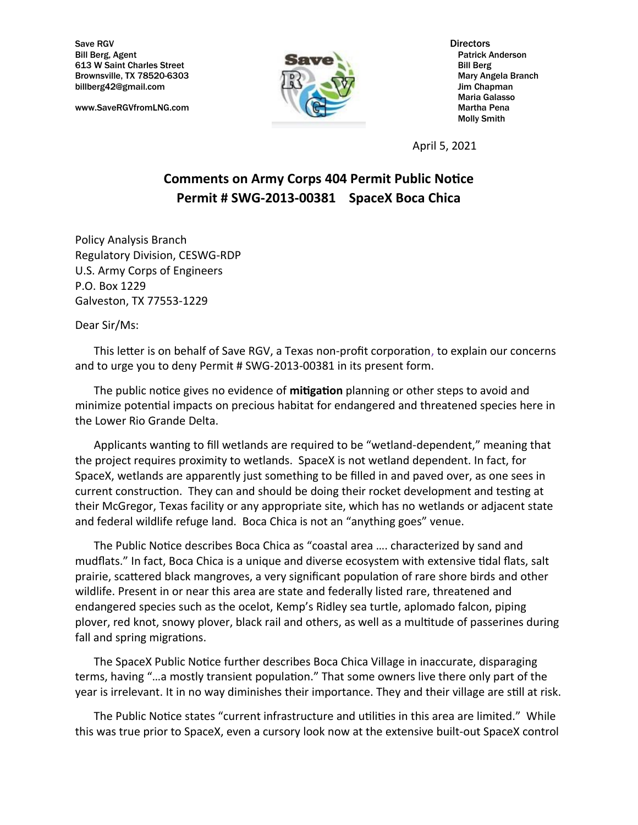Save RGV Directors Bill Berg, Agent **Patrick Anderson** Patrick Anderson 613 W Saint Charles Street Bill Berg Brownsville, TX 78520-6303 Mary Angela Branch billberg42@gmail.com **LBJ NV/** Jim Chapman

www.SaveRGVfromLNG.com Martha Pena



Maria Galasso Molly Smith

April 5, 2021

## **Comments on Army Corps 404 Permit Public Notice Permit # SWG-2013-00381 SpaceX Boca Chica**

Policy Analysis Branch Regulatory Division, CESWG-RDP U.S. Army Corps of Engineers P.O. Box 1229 Galveston, TX 77553-1229

Dear Sir/Ms:

This letter is on behalf of Save RGV, a Texas non-profit corporation, to explain our concerns and to urge you to deny Permit # SWG-2013-00381 in its present form.

The public notice gives no evidence of **mitigation** planning or other steps to avoid and minimize potential impacts on precious habitat for endangered and threatened species here in the Lower Rio Grande Delta.

Applicants wanting to fill wetlands are required to be "wetland-dependent," meaning that the project requires proximity to wetlands. SpaceX is not wetland dependent. In fact, for SpaceX, wetlands are apparently just something to be filled in and paved over, as one sees in current construction. They can and should be doing their rocket development and testing at their McGregor, Texas facility or any appropriate site, which has no wetlands or adjacent state and federal wildlife refuge land. Boca Chica is not an "anything goes" venue.

The Public Notice describes Boca Chica as "coastal area …. characterized by sand and mudflats." In fact, Boca Chica is a unique and diverse ecosystem with extensive tidal flats, salt prairie, scattered black mangroves, a very significant population of rare shore birds and other wildlife. Present in or near this area are state and federally listed rare, threatened and endangered species such as the ocelot, Kemp's Ridley sea turtle, aplomado falcon, piping plover, red knot, snowy plover, black rail and others, as well as a multitude of passerines during fall and spring migrations.

The SpaceX Public Notice further describes Boca Chica Village in inaccurate, disparaging terms, having "…a mostly transient population." That some owners live there only part of the year is irrelevant. It in no way diminishes their importance. They and their village are still at risk.

The Public Notice states "current infrastructure and utilities in this area are limited." While this was true prior to SpaceX, even a cursory look now at the extensive built-out SpaceX control